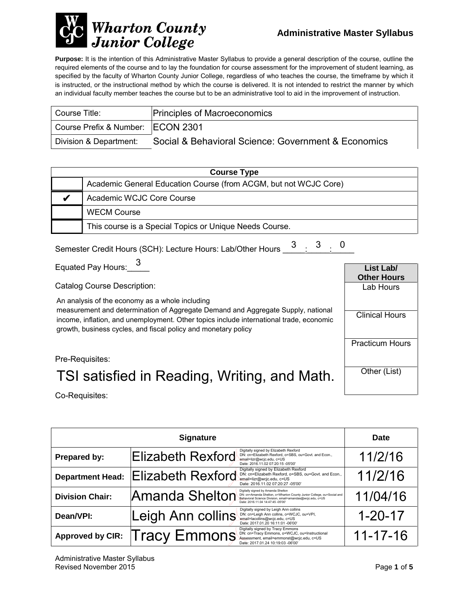

**Purpose:** It is the intention of this Administrative Master Syllabus to provide a general description of the course, outline the required elements of the course and to lay the foundation for course assessment for the improvement of student learning, as specified by the faculty of Wharton County Junior College, regardless of who teaches the course, the timeframe by which it is instructed, or the instructional method by which the course is delivered. It is not intended to restrict the manner by which an individual faculty member teaches the course but to be an administrative tool to aid in the improvement of instruction.

| Course Title:                       | <b>Principles of Macroeconomics</b>                 |
|-------------------------------------|-----------------------------------------------------|
| Course Prefix & Number:   ECON 2301 |                                                     |
| Division & Department:              | Social & Behavioral Science: Government & Economics |

| <b>Course Type</b> |                                                                  |  |
|--------------------|------------------------------------------------------------------|--|
|                    | Academic General Education Course (from ACGM, but not WCJC Core) |  |
|                    | Academic WCJC Core Course                                        |  |
|                    | <b>WECM Course</b>                                               |  |
|                    | This course is a Special Topics or Unique Needs Course.          |  |

Semester Credit Hours (SCH): Lecture Hours: Lab/Other Hours  $\begin{array}{@{}ll} \text{3} & \text{3} & \text{0} \ \text{4} & \text{2} & \text{4} \ \end{array}$ 

Equated Pay Hours:  $\frac{3}{2}$ 

Catalog Course Description:

An analysis of the economy as a whole including

measurement and determination of Aggregate Demand and Aggregate Supply, national income, inflation, and unemployment. Other topics include international trade, economic growth, business cycles, and fiscal policy and monetary policy

**List Lab/ Other Hours** Lab Hours Clinical Hours Practicum Hours Other (List)

Pre-Requisites:

## TSI satisfied in Reading, Writing, and Math.

Co-Requisites:

| <b>Signature</b>        |                          |                                                                                                                                                                                                               | <b>Date</b>    |
|-------------------------|--------------------------|---------------------------------------------------------------------------------------------------------------------------------------------------------------------------------------------------------------|----------------|
| Prepared by:            | <b>Elizabeth Rexford</b> | Digitally signed by Elizabeth Rexford<br>DN: cn=Elizabeth Rexford, o=SBS, ou=Govt. and Econ.,<br>email=lizr@wcjc.edu, c=US<br>Date: 2016.11.02 07:20:15 -05'00'                                               | 11/2/16        |
| <b>Department Head:</b> | <b>Elizabeth Rexford</b> | Digitally signed by Elizabeth Rexford<br>DN: cn=Elizabeth Rexford, o=SBS, ou=Govt. and Econ.,<br>email=lizr@wcjc.edu, c=US<br>Date: 2016.11.02 07:20:27 -05'00'                                               | 11/2/16        |
| <b>Division Chair:</b>  | Amanda Shelton           | Digitally signed by Amanda Shelton<br>DN: cn=Amanda Shelton, o=Wharton County Junior College, ou=Social and<br>Behavioral Science Division, email=amandas@wcjc.edu, c=US<br>Date: 2016 11 04 14:47:45 -05'00" | 11/04/16       |
| Dean/VPI:               | Leigh Ann collins        | Digitally signed by Leigh Ann collins<br>DN: cn=Leigh Ann collins, o=WCJC, ou=VPI,<br>email=lacollins@wcjc.edu, c=US<br>Date: 2017.01.20 16:11:01 -06'00'                                                     | $1 - 20 - 17$  |
| <b>Approved by CIR:</b> | Tracy Emmons             | Digitally signed by Tracy Emmons<br>DN: cn=Tracy Emmons, o=WCJC, ou=Instructional<br>Assessment, email=emmonst@wcjc.edu, c=US<br>Date: 2017.01.24 10:19:03 -06'00'                                            | $11 - 17 - 16$ |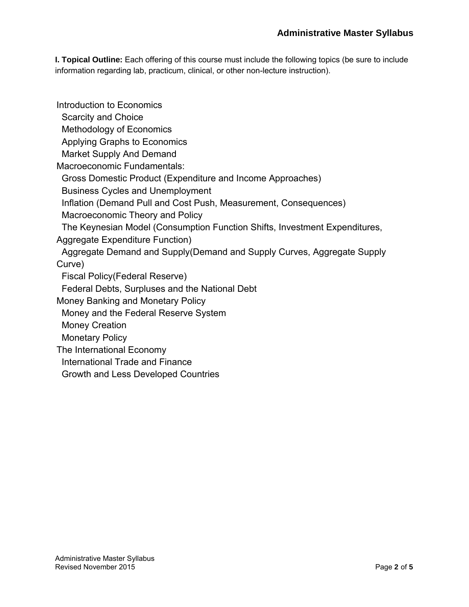**I. Topical Outline:** Each offering of this course must include the following topics (be sure to include information regarding lab, practicum, clinical, or other non-lecture instruction).

Introduction to Economics Scarcity and Choice Methodology of Economics Applying Graphs to Economics Market Supply And Demand Macroeconomic Fundamentals: Gross Domestic Product (Expenditure and Income Approaches) Business Cycles and Unemployment Inflation (Demand Pull and Cost Push, Measurement, Consequences) Macroeconomic Theory and Policy The Keynesian Model (Consumption Function Shifts, Investment Expenditures, Aggregate Expenditure Function) Aggregate Demand and Supply(Demand and Supply Curves, Aggregate Supply Curve) Fiscal Policy(Federal Reserve) Federal Debts, Surpluses and the National Debt Money Banking and Monetary Policy Money and the Federal Reserve System Money Creation Monetary Policy The International Economy International Trade and Finance Growth and Less Developed Countries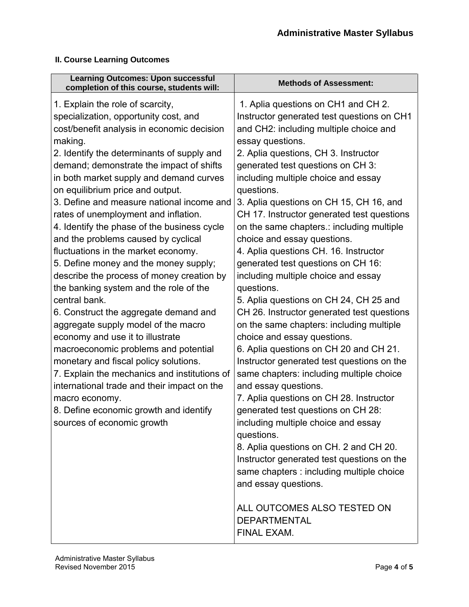#### **II. Course Learning Outcomes**

| <b>Learning Outcomes: Upon successful</b><br>completion of this course, students will:                                                                                                                                                                                                                                                                                                                                                                                                                                                                                                                                                                                                                                                                                                                                                                                                                                                                                                                                                                                       | <b>Methods of Assessment:</b>                                                                                                                                                                                                                                                                                                                                                                                                                                                                                                                                                                                                                                                                                                                                                                                                                                                                                                                                                                                                                                                                                                                           |
|------------------------------------------------------------------------------------------------------------------------------------------------------------------------------------------------------------------------------------------------------------------------------------------------------------------------------------------------------------------------------------------------------------------------------------------------------------------------------------------------------------------------------------------------------------------------------------------------------------------------------------------------------------------------------------------------------------------------------------------------------------------------------------------------------------------------------------------------------------------------------------------------------------------------------------------------------------------------------------------------------------------------------------------------------------------------------|---------------------------------------------------------------------------------------------------------------------------------------------------------------------------------------------------------------------------------------------------------------------------------------------------------------------------------------------------------------------------------------------------------------------------------------------------------------------------------------------------------------------------------------------------------------------------------------------------------------------------------------------------------------------------------------------------------------------------------------------------------------------------------------------------------------------------------------------------------------------------------------------------------------------------------------------------------------------------------------------------------------------------------------------------------------------------------------------------------------------------------------------------------|
| 1. Explain the role of scarcity,<br>specialization, opportunity cost, and<br>cost/benefit analysis in economic decision<br>making.<br>2. Identify the determinants of supply and<br>demand; demonstrate the impact of shifts<br>in both market supply and demand curves<br>on equilibrium price and output.<br>3. Define and measure national income and<br>rates of unemployment and inflation.<br>4. Identify the phase of the business cycle<br>and the problems caused by cyclical<br>fluctuations in the market economy.<br>5. Define money and the money supply;<br>describe the process of money creation by<br>the banking system and the role of the<br>central bank.<br>6. Construct the aggregate demand and<br>aggregate supply model of the macro<br>economy and use it to illustrate<br>macroeconomic problems and potential<br>monetary and fiscal policy solutions.<br>7. Explain the mechanics and institutions of<br>international trade and their impact on the<br>macro economy.<br>8. Define economic growth and identify<br>sources of economic growth | 1. Aplia questions on CH1 and CH 2.<br>Instructor generated test questions on CH1<br>and CH2: including multiple choice and<br>essay questions.<br>2. Aplia questions, CH 3. Instructor<br>generated test questions on CH 3:<br>including multiple choice and essay<br>questions.<br>3. Aplia questions on CH 15, CH 16, and<br>CH 17. Instructor generated test questions<br>on the same chapters.: including multiple<br>choice and essay questions.<br>4. Aplia questions CH. 16. Instructor<br>generated test questions on CH 16:<br>including multiple choice and essay<br>questions.<br>5. Aplia questions on CH 24, CH 25 and<br>CH 26. Instructor generated test questions<br>on the same chapters: including multiple<br>choice and essay questions.<br>6. Aplia questions on CH 20 and CH 21.<br>Instructor generated test questions on the<br>same chapters: including multiple choice<br>and essay questions.<br>7. Aplia questions on CH 28. Instructor<br>generated test questions on CH 28:<br>including multiple choice and essay<br>questions.<br>8. Aplia questions on CH. 2 and CH 20.<br>Instructor generated test questions on the |
|                                                                                                                                                                                                                                                                                                                                                                                                                                                                                                                                                                                                                                                                                                                                                                                                                                                                                                                                                                                                                                                                              | same chapters : including multiple choice<br>and essay questions.                                                                                                                                                                                                                                                                                                                                                                                                                                                                                                                                                                                                                                                                                                                                                                                                                                                                                                                                                                                                                                                                                       |
|                                                                                                                                                                                                                                                                                                                                                                                                                                                                                                                                                                                                                                                                                                                                                                                                                                                                                                                                                                                                                                                                              | ALL OUTCOMES ALSO TESTED ON<br><b>DEPARTMENTAL</b><br>FINAL EXAM.                                                                                                                                                                                                                                                                                                                                                                                                                                                                                                                                                                                                                                                                                                                                                                                                                                                                                                                                                                                                                                                                                       |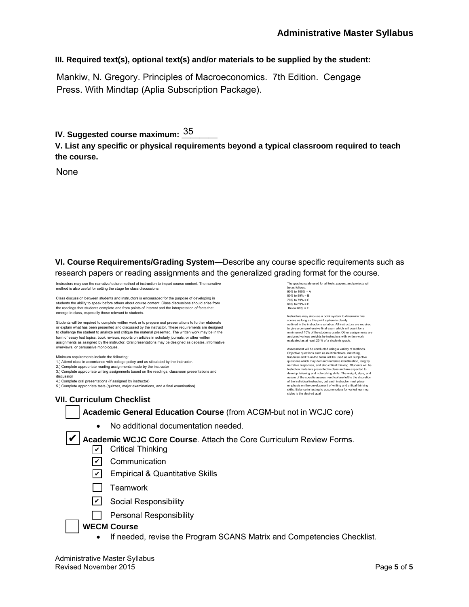#### **III. Required text(s), optional text(s) and/or materials to be supplied by the student:**

Mankiw, N. Gregory. Principles of Macroeconomics. 7th Edition. Cengage Press. With Mindtap (Aplia Subscription Package).

IV. Suggested course maximum: <u><sup>35</sup>\_\_\_\_\_</u>

**V. List any specific or physical requirements beyond a typical classroom required to teach the course.**

None

**VI. Course Requirements/Grading System—**Describe any course specific requirements such as research papers or reading assignments and the generalized grading format for the course.

Instructors may use the narrative/lecture method of instruction to impart course content. The narrative method is also useful for setting the stage for class discussions.

Class discussion between students and instructors is encouraged for the purpose of developing in students the ability to speak before others about course content. Class discussions should arise from the readings that students complete and from points of interest and the interpretation of facts that emerge in class, especially those relevant to students.

Students will be required to complete written work or to prepare oral presentations to further elaborate or explain what has been presented and discussed by the instructor. These requirements are designed to challenge the student to analyze and critique the material presented. The written work may be in the form of essay test topics, book reviews, reports on articles in scholarly journals, or other written assignments as assigned by the instructor. Oral presentations may be designed as debates, informative overviews, or persuasive monologues.

Minimum requirements include the following:

1.) Attend class in accordance with college policy and as stipulated by the instructor. 2.) Complete appropriate reading assignments made by the instructor

3.) Complete appropriate writing assignments based on the readings, classroom presentations and

discussion

4.) Complete oral presentations (if assigned by instructor) 5.) Complete appropriate tests (quizzes, major examinations, and a final examination) The grading scale us be as follows: 90% to 100% = A 80% to 89% = B 70% to 79% = C 60% to 69% = D Below 60% = F

Instructors may also use a point system to determine final scores as long as this point system is clearly outlined in the instructor's syllabus. All instructors are required to give a comprehensive final exam which will count for a minimum of 10% of the students grade. Other assignments are assigned various weights by instructors with written work evaluated as at least 25 % of a students grade.

Assessment will be conducted using a variety of methods. Objective questions such as multiplechoice, matching, true/false and fill-in-the blank will be used as will subjective questions which may demand narrative identification, lengthy narrative responses, and also critical thinking. Students will be tested on materials presented in class and are expected to develop listening and note-taking skills. The weight, style, and<br>nature of the specific assessment tool are left to the discretion<br>of the individual instructor, but each instructor must place<br>emphasis on the development of skills. Balance in testing to acco<br>styles is the desired goal

#### **VII. Curriculum Checklist**

#### **Academic General Education Course** (from ACGM-but not in WCJC core)

• No additional documentation needed.

✔ Academic WCJC Core Course. Attach the Core Curriculum Review Forms.

- **✓** Critical Thinking
- <u>✔</u> Communication
- <u>✔</u> Empirical & Quantitative Skills
- $\Box$  Teamwork
- <u>✔</u> Social Responsibility
- **Personal Responsibility**

#### **WECM Course**

• If needed, revise the Program SCANS Matrix and Competencies Checklist.

Administrative Master Syllabus Revised November 2015 Page **5** of **5**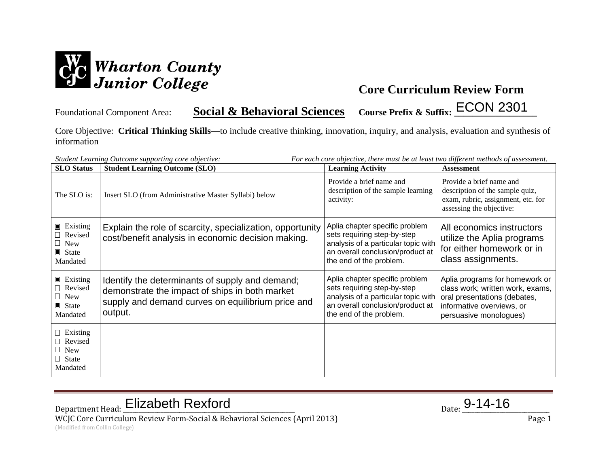

Foundational Component Area: **Social & Behavioral Sciences Course Prefix & Suffix: \_\_\_\_\_\_\_\_\_\_\_\_\_\_\_\_\_\_** ECON 2301

Core Objective: **Critical Thinking Skills—**to include creative thinking, innovation, inquiry, and analysis, evaluation and synthesis of information

| <b>SLO</b> Status                                                            | Student Learning Outcome supporting core objective:<br><b>Student Learning Outcome (SLO)</b>                                                                      | For each core objective, there must be at least two different methods of assessment.<br><b>Learning Activity</b>                                                    | <b>Assessment</b>                                                                                                                                         |
|------------------------------------------------------------------------------|-------------------------------------------------------------------------------------------------------------------------------------------------------------------|---------------------------------------------------------------------------------------------------------------------------------------------------------------------|-----------------------------------------------------------------------------------------------------------------------------------------------------------|
| The SLO is:                                                                  | Insert SLO (from Administrative Master Syllabi) below                                                                                                             | Provide a brief name and<br>description of the sample learning<br>activity:                                                                                         | Provide a brief name and<br>description of the sample quiz,<br>exam, rubric, assignment, etc. for<br>assessing the objective:                             |
| $\blacksquare$ Existing<br>□ Revised<br>$\Box$ New<br>State<br>Mandated      | Explain the role of scarcity, specialization, opportunity<br>cost/benefit analysis in economic decision making.                                                   | Aplia chapter specific problem<br>sets requiring step-by-step<br>analysis of a particular topic with<br>an overall conclusion/product at<br>the end of the problem. | All economics instructors<br>utilize the Aplia programs<br>for either homework or in<br>class assignments.                                                |
| <b>Existing</b><br>Revised<br>$\Box$ New<br>$\blacksquare$ State<br>Mandated | Identify the determinants of supply and demand;<br>demonstrate the impact of ships in both market<br>supply and demand curves on equilibrium price and<br>output. | Aplia chapter specific problem<br>sets requiring step-by-step<br>analysis of a particular topic with<br>an overall conclusion/product at<br>the end of the problem. | Aplia programs for homework or<br>class work; written work, exams,<br>oral presentations (debates,<br>informative overviews, or<br>persuasive monologues) |
| $\Box$ Existing<br>□ Revised<br>$\Box$ New<br>$\Box$ State<br>Mandated       |                                                                                                                                                                   |                                                                                                                                                                     |                                                                                                                                                           |

# Department Head: Elizabeth Rexford Department Head: <u>Elizabeth Rexford</u> Parte 2014-16

WCJC Core Curriculum Review Form-Social & Behavioral Sciences (April 2013) Page 1 (Modified from Collin College)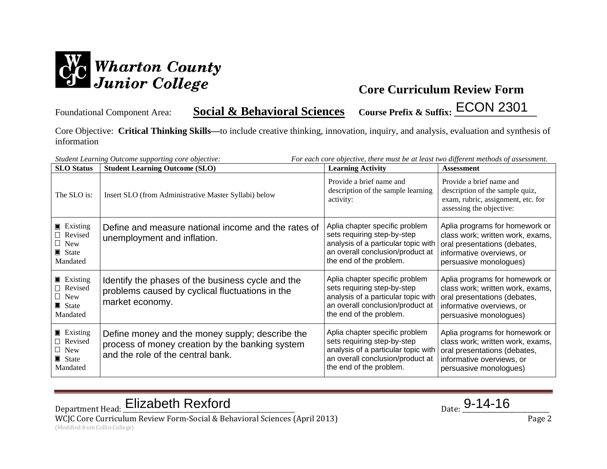

Foundational Component Area: **Social & Behavioral Sciences Course Prefix & Suffix: \_\_\_\_\_\_\_\_\_\_\_\_\_\_\_\_\_\_** ECON 2301

Core Objective: **Critical Thinking Skills—**to include creative thinking, innovation, inquiry, and analysis, evaluation and synthesis of information

| <b>SLO</b> Status                                                                      | <b>Student Learning Outcome (SLO)</b>                                                                                                   | <b>Learning Activity</b>                                                                                                                                            | <b>Assessment</b>                                                                                                                                         |
|----------------------------------------------------------------------------------------|-----------------------------------------------------------------------------------------------------------------------------------------|---------------------------------------------------------------------------------------------------------------------------------------------------------------------|-----------------------------------------------------------------------------------------------------------------------------------------------------------|
| The SLO is:                                                                            | Insert SLO (from Administrative Master Syllabi) below                                                                                   | Provide a brief name and<br>description of the sample learning<br>activity:                                                                                         | Provide a brief name and<br>description of the sample quiz,<br>exam, rubric, assignment, etc. for<br>assessing the objective:                             |
| $\blacksquare$ Existing<br>□ Revised<br>$\Box$ New<br>State<br>Mandated                | Define and measure national income and the rates of<br>unemployment and inflation.                                                      | Aplia chapter specific problem<br>sets requiring step-by-step<br>analysis of a particular topic with<br>an overall conclusion/product at<br>the end of the problem. | Aplia programs for homework or<br>class work; written work, exams,<br>oral presentations (debates,<br>informative overviews, or<br>persuasive monologues) |
| $\blacksquare$ Existing<br>□ Revised<br>$\Box$ New<br>$\blacksquare$ State<br>Mandated | Identify the phases of the business cycle and the<br>problems caused by cyclical fluctuations in the<br>market economy.                 | Aplia chapter specific problem<br>sets requiring step-by-step<br>analysis of a particular topic with<br>an overall conclusion/product at<br>the end of the problem. | Aplia programs for homework or<br>class work; written work, exams,<br>oral presentations (debates,<br>informative overviews, or<br>persuasive monologues) |
| $\blacksquare$ Existing<br>Revised<br>$\Box$ New<br>$\blacksquare$ State<br>Mandated   | Define money and the money supply; describe the<br>process of money creation by the banking system<br>and the role of the central bank. | Aplia chapter specific problem<br>sets requiring step-by-step<br>analysis of a particular topic with<br>an overall conclusion/product at<br>the end of the problem. | Aplia programs for homework or<br>class work; written work, exams,<br>oral presentations (debates,<br>informative overviews, or<br>persuasive monologues) |

Department Head: Elizabeth Rexford Department Head: <u>Elizabeth Rexford</u> Parte 2014-16

WCJC Core Curriculum Review Form-Social & Behavioral Sciences (April 2013) Page 2 (Modified from Collin College)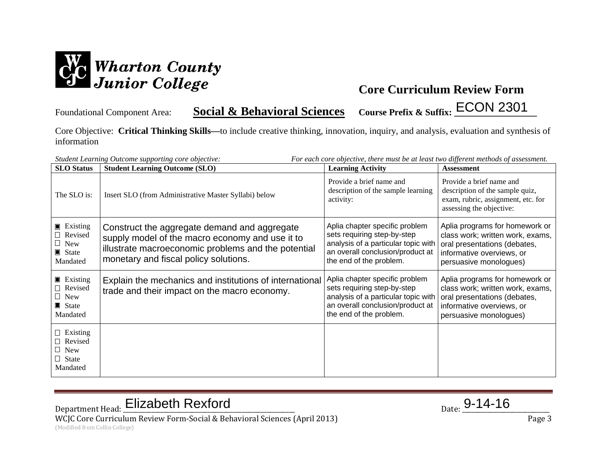

Foundational Component Area: **Social & Behavioral Sciences Course Prefix & Suffix: \_\_\_\_\_\_\_\_\_\_\_\_\_\_\_\_\_\_** ECON 2301

Core Objective: **Critical Thinking Skills—**to include creative thinking, innovation, inquiry, and analysis, evaluation and synthesis of information

|                                                                                        | For each core objective, there must be at least two different methods of assessment.<br>Student Learning Outcome supporting core objective:                                                     |                                                                                                                                                                     |                                                                                                                                                           |  |
|----------------------------------------------------------------------------------------|-------------------------------------------------------------------------------------------------------------------------------------------------------------------------------------------------|---------------------------------------------------------------------------------------------------------------------------------------------------------------------|-----------------------------------------------------------------------------------------------------------------------------------------------------------|--|
| <b>SLO</b> Status                                                                      | <b>Student Learning Outcome (SLO)</b>                                                                                                                                                           | <b>Learning Activity</b>                                                                                                                                            | <b>Assessment</b>                                                                                                                                         |  |
| The SLO is:                                                                            | Insert SLO (from Administrative Master Syllabi) below                                                                                                                                           | Provide a brief name and<br>description of the sample learning<br>activity:                                                                                         | Provide a brief name and<br>description of the sample quiz,<br>exam, rubric, assignment, etc. for<br>assessing the objective:                             |  |
| $\blacksquare$ Existing<br>Revised<br>$\Box$ New<br>$\blacksquare$ State<br>Mandated   | Construct the aggregate demand and aggregate<br>supply model of the macro economy and use it to<br>illustrate macroeconomic problems and the potential<br>monetary and fiscal policy solutions. | Aplia chapter specific problem<br>sets requiring step-by-step<br>analysis of a particular topic with<br>an overall conclusion/product at<br>the end of the problem. | Aplia programs for homework or<br>class work; written work, exams,<br>oral presentations (debates,<br>informative overviews, or<br>persuasive monologues) |  |
| $\blacksquare$ Existing<br>□ Revised<br>$\Box$ New<br>$\blacksquare$ State<br>Mandated | Explain the mechanics and institutions of international<br>trade and their impact on the macro economy.                                                                                         | Aplia chapter specific problem<br>sets requiring step-by-step<br>analysis of a particular topic with<br>an overall conclusion/product at<br>the end of the problem. | Aplia programs for homework or<br>class work; written work, exams,<br>oral presentations (debates,<br>informative overviews, or<br>persuasive monologues) |  |
| $\Box$ Existing<br>$\Box$ Revised<br>$\Box$ New<br>$\Box$ State<br>Mandated            |                                                                                                                                                                                                 |                                                                                                                                                                     |                                                                                                                                                           |  |

# Department Head: Elizabeth Rexford Department Head: <u>Elizabeth Rexford</u> Parte 2014-16

WCJC Core Curriculum Review Form-Social & Behavioral Sciences (April 2013) Page 3 (Modified from Collin College)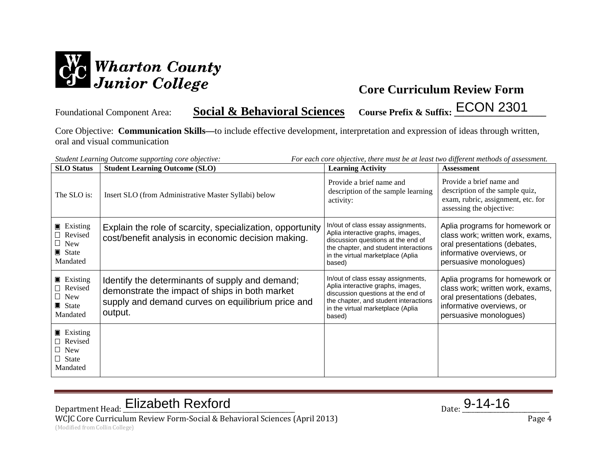

Foundational Component Area: **Social & Behavioral Sciences** Course Prefix & Suffix: ECON 2301

Core Objective: **Communication Skills—**to include effective development, interpretation and expression of ideas through written, oral and visual communication

|                                                                                      | For each core objective, there must be at least two different methods of assessment.<br>Student Learning Outcome supporting core objective:                       |                                                                                                                                                                                                       |                                                                                                                                                           |  |
|--------------------------------------------------------------------------------------|-------------------------------------------------------------------------------------------------------------------------------------------------------------------|-------------------------------------------------------------------------------------------------------------------------------------------------------------------------------------------------------|-----------------------------------------------------------------------------------------------------------------------------------------------------------|--|
| <b>SLO</b> Status                                                                    | <b>Student Learning Outcome (SLO)</b>                                                                                                                             | <b>Learning Activity</b>                                                                                                                                                                              | <b>Assessment</b>                                                                                                                                         |  |
| The SLO is:                                                                          | Insert SLO (from Administrative Master Syllabi) below                                                                                                             | Provide a brief name and<br>description of the sample learning<br>activity:                                                                                                                           | Provide a brief name and<br>description of the sample quiz,<br>exam, rubric, assignment, etc. for<br>assessing the objective:                             |  |
| $\blacksquare$ Existing<br>Revised<br>$\Box$ New<br>$\blacksquare$ State<br>Mandated | Explain the role of scarcity, specialization, opportunity<br>cost/benefit analysis in economic decision making.                                                   | In/out of class essay assignments,<br>Aplia interactive graphs, images,<br>discussion questions at the end of<br>the chapter, and student interactions<br>in the virtual marketplace (Aplia<br>based) | Aplia programs for homework or<br>class work; written work, exams,<br>oral presentations (debates,<br>informative overviews, or<br>persuasive monologues) |  |
| $\blacksquare$ Existing<br>Revised<br>$\Box$ New<br>State<br>Mandated                | Identify the determinants of supply and demand;<br>demonstrate the impact of ships in both market<br>supply and demand curves on equilibrium price and<br>output. | In/out of class essay assignments,<br>Aplia interactive graphs, images,<br>discussion questions at the end of<br>the chapter, and student interactions<br>in the virtual marketplace (Aplia<br>based) | Aplia programs for homework or<br>class work; written work, exams,<br>oral presentations (debates,<br>informative overviews, or<br>persuasive monologues) |  |
| $\blacksquare$ Existing<br>$\Box$ Revised<br>$\Box$ New<br>$\Box$ State<br>Mandated  |                                                                                                                                                                   |                                                                                                                                                                                                       |                                                                                                                                                           |  |

# Department Head: Elizabeth Rexford Department Head: <u>Elizabeth Rexford</u> Parte 2014-16

WCJC Core Curriculum Review Form-Social & Behavioral Sciences (April 2013) Page 4 (Modified from Collin College)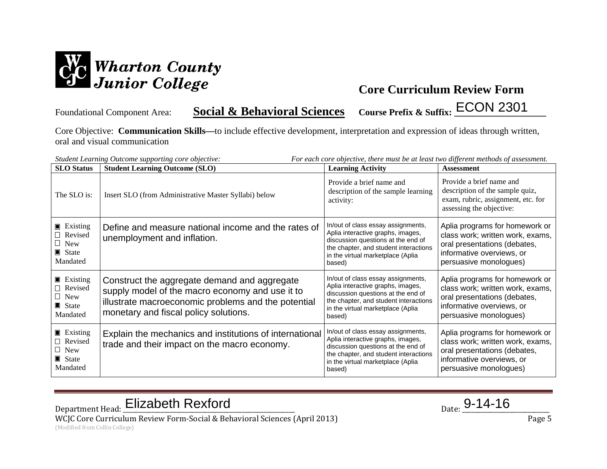

Foundational Component Area: **Social & Behavioral Sciences** Course Prefix & Suffix: ECON 2301

Core Objective: **Communication Skills—**to include effective development, interpretation and expression of ideas through written, oral and visual communication

| <b>SLO</b> Status                                                                           | Student Learning Outcome supporting core objective:<br><b>Student Learning Outcome (SLO)</b>                                                                                                    | For each core objective, there must be at least two different methods of assessment.<br><b>Learning Activity</b>                                                                                      | <b>Assessment</b>                                                                                                                                         |
|---------------------------------------------------------------------------------------------|-------------------------------------------------------------------------------------------------------------------------------------------------------------------------------------------------|-------------------------------------------------------------------------------------------------------------------------------------------------------------------------------------------------------|-----------------------------------------------------------------------------------------------------------------------------------------------------------|
| The SLO is:                                                                                 | Insert SLO (from Administrative Master Syllabi) below                                                                                                                                           | Provide a brief name and<br>description of the sample learning<br>activity:                                                                                                                           | Provide a brief name and<br>description of the sample quiz,<br>exam, rubric, assignment, etc. for<br>assessing the objective:                             |
| $\blacksquare$ Existing<br>□ Revised<br>$\Box$ New<br>$\blacksquare$ State<br>Mandated      | Define and measure national income and the rates of<br>unemployment and inflation.                                                                                                              | In/out of class essay assignments,<br>Aplia interactive graphs, images,<br>discussion questions at the end of<br>the chapter, and student interactions<br>in the virtual marketplace (Aplia<br>based) | Aplia programs for homework or<br>class work; written work, exams,<br>oral presentations (debates,<br>informative overviews, or<br>persuasive monologues) |
| $\blacksquare$ Existing<br>$\Box$ Revised<br>$\Box$ New<br>$\blacksquare$ State<br>Mandated | Construct the aggregate demand and aggregate<br>supply model of the macro economy and use it to<br>illustrate macroeconomic problems and the potential<br>monetary and fiscal policy solutions. | In/out of class essay assignments,<br>Aplia interactive graphs, images,<br>discussion questions at the end of<br>the chapter, and student interactions<br>in the virtual marketplace (Aplia<br>based) | Aplia programs for homework or<br>class work; written work, exams,<br>oral presentations (debates,<br>informative overviews, or<br>persuasive monologues) |
| $\blacksquare$ Existing<br>Revised<br>$\Box$ New<br>$\blacksquare$ State<br>Mandated        | Explain the mechanics and institutions of international<br>trade and their impact on the macro economy.                                                                                         | In/out of class essay assignments,<br>Aplia interactive graphs, images,<br>discussion questions at the end of<br>the chapter, and student interactions<br>in the virtual marketplace (Aplia<br>based) | Aplia programs for homework or<br>class work; written work, exams,<br>oral presentations (debates,<br>informative overviews, or<br>persuasive monologues) |

Department Head: Elizabeth Rexford Department Head: <u>Elizabeth Rexford</u> Parte 2014-16 WCJC Core Curriculum Review Form-Social & Behavioral Sciences (April 2013) Page 5

(Modified from Collin College)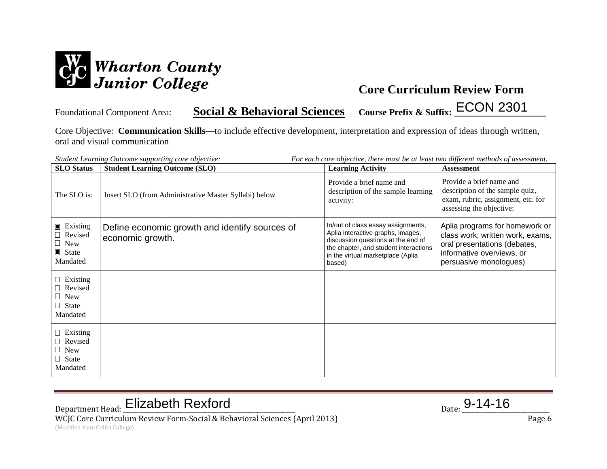

Foundational Component Area: **Social & Behavioral Sciences** Course Prefix & Suffix: ECON 2301

Core Objective: **Communication Skills—**to include effective development, interpretation and expression of ideas through written, oral and visual communication

|                                                                                             | For each core objective, there must be at least two different methods of assessment.<br>Student Learning Outcome supporting core objective: |                                                                                                                                                                                                       |                                                                                                                                                           |  |
|---------------------------------------------------------------------------------------------|---------------------------------------------------------------------------------------------------------------------------------------------|-------------------------------------------------------------------------------------------------------------------------------------------------------------------------------------------------------|-----------------------------------------------------------------------------------------------------------------------------------------------------------|--|
| <b>SLO</b> Status                                                                           | <b>Student Learning Outcome (SLO)</b>                                                                                                       | <b>Learning Activity</b>                                                                                                                                                                              | <b>Assessment</b>                                                                                                                                         |  |
| The SLO is:                                                                                 | Insert SLO (from Administrative Master Syllabi) below                                                                                       | Provide a brief name and<br>description of the sample learning<br>activity:                                                                                                                           | Provide a brief name and<br>description of the sample quiz,<br>exam, rubric, assignment, etc. for<br>assessing the objective:                             |  |
| $\blacksquare$ Existing<br>$\Box$ Revised<br>$\Box$ New<br>$\blacksquare$ State<br>Mandated | Define economic growth and identify sources of<br>economic growth.                                                                          | In/out of class essay assignments,<br>Aplia interactive graphs, images,<br>discussion questions at the end of<br>the chapter, and student interactions<br>in the virtual marketplace (Aplia<br>based) | Aplia programs for homework or<br>class work; written work, exams,<br>oral presentations (debates,<br>informative overviews, or<br>persuasive monologues) |  |
| $\Box$ Existing<br>$\Box$ Revised<br>$\Box$ New<br>$\Box$ State<br>Mandated                 |                                                                                                                                             |                                                                                                                                                                                                       |                                                                                                                                                           |  |
| $\Box$ Existing<br>$\Box$ Revised<br>$\Box$ New<br>$\Box$ State<br>Mandated                 |                                                                                                                                             |                                                                                                                                                                                                       |                                                                                                                                                           |  |

# Department Head: Elizabeth Rexford Department Head: <u>Elizabeth Rexford</u> Parte 2014-16

WCJC Core Curriculum Review Form-Social & Behavioral Sciences (April 2013) Page 6 (Modified from Collin College)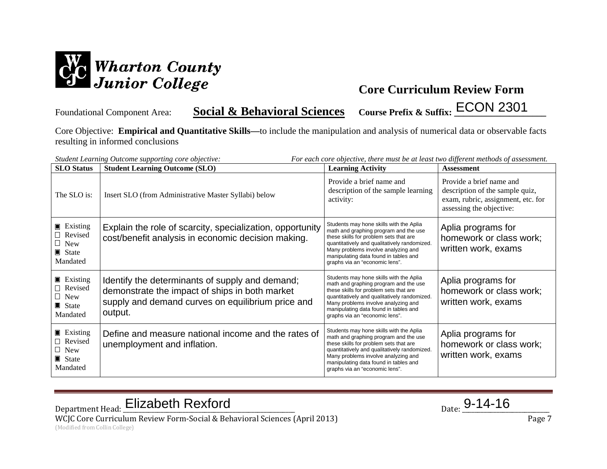

Foundational Component Area: **Social & Behavioral Sciences** Course Prefix & Suffix: **ECON 2301** 

Core Objective: **Empirical and Quantitative Skills—**to include the manipulation and analysis of numerical data or observable facts resulting in informed conclusions

| <b>SLO</b> Status                                                                      | Student Learning Outcome supporting core objective:<br><b>Student Learning Outcome (SLO)</b>                                                                      | For each core objective, there must be at least two different methods of assessment.<br><b>Learning Activity</b>                                                                                                                                                                             | <b>Assessment</b>                                                                                                             |
|----------------------------------------------------------------------------------------|-------------------------------------------------------------------------------------------------------------------------------------------------------------------|----------------------------------------------------------------------------------------------------------------------------------------------------------------------------------------------------------------------------------------------------------------------------------------------|-------------------------------------------------------------------------------------------------------------------------------|
| The SLO is:                                                                            | Insert SLO (from Administrative Master Syllabi) below                                                                                                             | Provide a brief name and<br>description of the sample learning<br>activity:                                                                                                                                                                                                                  | Provide a brief name and<br>description of the sample quiz,<br>exam, rubric, assignment, etc. for<br>assessing the objective: |
| <b>Existing</b><br>$\Box$ Revised<br>$\Box$ New<br>$\blacksquare$ State<br>Mandated    | Explain the role of scarcity, specialization, opportunity<br>cost/benefit analysis in economic decision making.                                                   | Students may hone skills with the Aplia<br>math and graphing program and the use<br>these skills for problem sets that are<br>quantitatively and qualitatively randomized.<br>Many problems involve analyzing and<br>manipulating data found in tables and<br>graphs via an "economic lens". | Aplia programs for<br>homework or class work;<br>written work, exams                                                          |
| <b>Existing</b><br>Revised<br>$\Box$ New<br>$\blacksquare$ State<br>Mandated           | Identify the determinants of supply and demand;<br>demonstrate the impact of ships in both market<br>supply and demand curves on equilibrium price and<br>output. | Students may hone skills with the Aplia<br>math and graphing program and the use<br>these skills for problem sets that are<br>quantitatively and qualitatively randomized.<br>Many problems involve analyzing and<br>manipulating data found in tables and<br>graphs via an "economic lens". | Aplia programs for<br>homework or class work;<br>written work, exams                                                          |
| $\blacksquare$ Existing<br>□ Revised<br>$\Box$ New<br>$\blacksquare$ State<br>Mandated | Define and measure national income and the rates of<br>unemployment and inflation.                                                                                | Students may hone skills with the Aplia<br>math and graphing program and the use<br>these skills for problem sets that are<br>quantitatively and qualitatively randomized.<br>Many problems involve analyzing and<br>manipulating data found in tables and<br>graphs via an "economic lens". | Aplia programs for<br>homework or class work;<br>written work, exams                                                          |

Department Head: Elizabeth Rexford Department Head: <u>Elizabeth Rexford</u> Parte 2014-16

WCJC Core Curriculum Review Form-Social & Behavioral Sciences (April 2013) Page 7 (Modified from Collin College)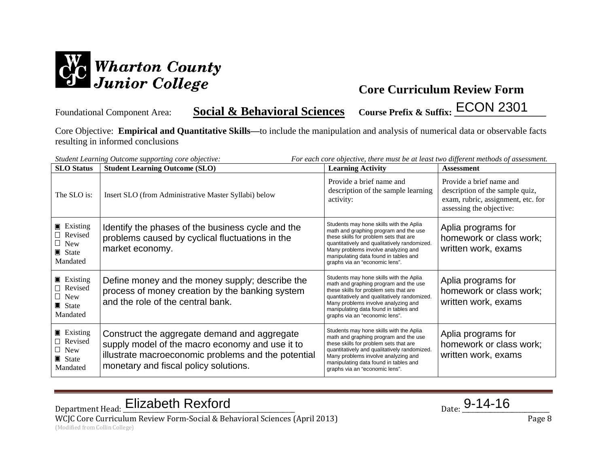

Foundational Component Area: **Social & Behavioral Sciences** Course Prefix & Suffix: **ECON 2301** 

Core Objective: **Empirical and Quantitative Skills—**to include the manipulation and analysis of numerical data or observable facts resulting in informed conclusions

| For each core objective, there must be at least two different methods of assessment.<br>Student Learning Outcome supporting core objective: |                                                                                                                                                                                                 |                                                                                                                                                                                                                                                                                              |                                                                                                                               |
|---------------------------------------------------------------------------------------------------------------------------------------------|-------------------------------------------------------------------------------------------------------------------------------------------------------------------------------------------------|----------------------------------------------------------------------------------------------------------------------------------------------------------------------------------------------------------------------------------------------------------------------------------------------|-------------------------------------------------------------------------------------------------------------------------------|
| <b>SLO</b> Status                                                                                                                           | <b>Student Learning Outcome (SLO)</b>                                                                                                                                                           | <b>Learning Activity</b>                                                                                                                                                                                                                                                                     | <b>Assessment</b>                                                                                                             |
| The SLO is:                                                                                                                                 | Insert SLO (from Administrative Master Syllabi) below                                                                                                                                           | Provide a brief name and<br>description of the sample learning<br>activity:                                                                                                                                                                                                                  | Provide a brief name and<br>description of the sample quiz,<br>exam, rubric, assignment, etc. for<br>assessing the objective: |
| $\blacksquare$ Existing<br>□ Revised<br>$\Box$ New<br>$\blacksquare$ State<br>Mandated                                                      | Identify the phases of the business cycle and the<br>problems caused by cyclical fluctuations in the<br>market economy.                                                                         | Students may hone skills with the Aplia<br>math and graphing program and the use<br>these skills for problem sets that are<br>quantitatively and qualitatively randomized.<br>Many problems involve analyzing and<br>manipulating data found in tables and<br>graphs via an "economic lens". | Aplia programs for<br>homework or class work;<br>written work, exams                                                          |
| $\blacksquare$ Existing<br>Revised<br>$\Box$ New<br>$\blacksquare$ State<br>Mandated                                                        | Define money and the money supply; describe the<br>process of money creation by the banking system<br>and the role of the central bank.                                                         | Students may hone skills with the Aplia<br>math and graphing program and the use<br>these skills for problem sets that are<br>quantitatively and qualitatively randomized.<br>Many problems involve analyzing and<br>manipulating data found in tables and<br>graphs via an "economic lens". | Aplia programs for<br>homework or class work;<br>written work, exams                                                          |
| $\blacksquare$ Existing<br>Revised<br>$\Box$ New<br>State<br>Mandated                                                                       | Construct the aggregate demand and aggregate<br>supply model of the macro economy and use it to<br>illustrate macroeconomic problems and the potential<br>monetary and fiscal policy solutions. | Students may hone skills with the Aplia<br>math and graphing program and the use<br>these skills for problem sets that are<br>quantitatively and qualitatively randomized.<br>Many problems involve analyzing and<br>manipulating data found in tables and<br>graphs via an "economic lens". | Aplia programs for<br>homework or class work;<br>written work, exams                                                          |

Department Head: Elizabeth Rexford Department Head: <u>Elizabeth Rexford</u> Parte 2014-16

WCJC Core Curriculum Review Form-Social & Behavioral Sciences (April 2013) Page 8 (Modified from Collin College)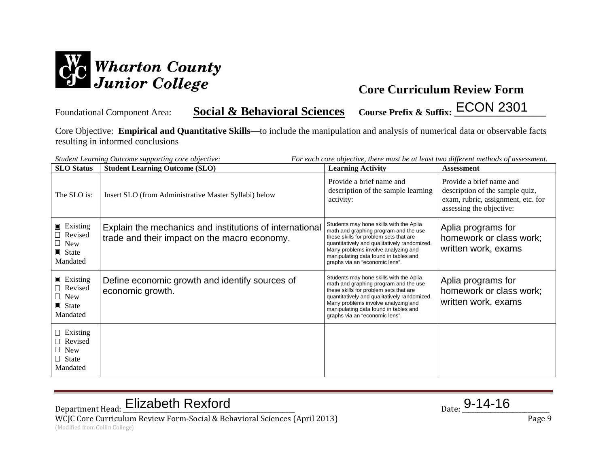

Foundational Component Area: **Social & Behavioral Sciences** Course Prefix & Suffix: **ECON 2301** 

Core Objective: **Empirical and Quantitative Skills—**to include the manipulation and analysis of numerical data or observable facts resulting in informed conclusions

| For each core objective, there must be at least two different methods of assessment.<br>Student Learning Outcome supporting core objective: |                                                                                                         |                                                                                                                                                                                                                                                                                              |                                                                                                                               |  |
|---------------------------------------------------------------------------------------------------------------------------------------------|---------------------------------------------------------------------------------------------------------|----------------------------------------------------------------------------------------------------------------------------------------------------------------------------------------------------------------------------------------------------------------------------------------------|-------------------------------------------------------------------------------------------------------------------------------|--|
| <b>SLO</b> Status                                                                                                                           | <b>Student Learning Outcome (SLO)</b>                                                                   | <b>Learning Activity</b>                                                                                                                                                                                                                                                                     | <b>Assessment</b>                                                                                                             |  |
| The SLO is:                                                                                                                                 | Insert SLO (from Administrative Master Syllabi) below                                                   | Provide a brief name and<br>description of the sample learning<br>activity:                                                                                                                                                                                                                  | Provide a brief name and<br>description of the sample quiz,<br>exam, rubric, assignment, etc. for<br>assessing the objective: |  |
| $\blacksquare$ Existing<br>$\Box$ Revised<br>$\Box$ New<br>$\blacksquare$ State<br>Mandated                                                 | Explain the mechanics and institutions of international<br>trade and their impact on the macro economy. | Students may hone skills with the Aplia<br>math and graphing program and the use<br>these skills for problem sets that are<br>quantitatively and qualitatively randomized.<br>Many problems involve analyzing and<br>manipulating data found in tables and<br>graphs via an "economic lens". | Aplia programs for<br>homework or class work;<br>written work, exams                                                          |  |
| $\blacksquare$ Existing<br>Revised<br>$\Box$ New<br>$\blacksquare$ State<br>Mandated                                                        | Define economic growth and identify sources of<br>economic growth.                                      | Students may hone skills with the Aplia<br>math and graphing program and the use<br>these skills for problem sets that are<br>quantitatively and qualitatively randomized.<br>Many problems involve analyzing and<br>manipulating data found in tables and<br>graphs via an "economic lens". | Aplia programs for<br>homework or class work;<br>written work, exams                                                          |  |
| $\Box$ Existing<br>$\Box$ Revised<br>$\Box$ New<br>$\Box$ State<br>Mandated                                                                 |                                                                                                         |                                                                                                                                                                                                                                                                                              |                                                                                                                               |  |

# Department Head: Elizabeth Rexford Department Head: <u>Elizabeth Rexford</u> Parte 2014-16

WCJC Core Curriculum Review Form-Social & Behavioral Sciences (April 2013) Page 9 (Modified from Collin College)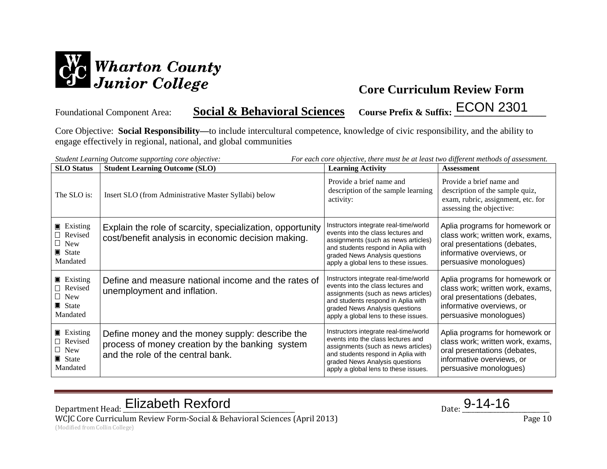

Foundational Component Area: **Social & Behavioral Sciences** Course Prefix & Suffix: **ECON 2301** 

Core Objective: **Social Responsibility—**to include intercultural competence, knowledge of civic responsibility, and the ability to engage effectively in regional, national, and global communities

|                                                                                        | For each core objective, there must be at least two different methods of assessment.<br>Student Learning Outcome supporting core objective: |                                                                                                                                                                                                                                    |                                                                                                                                                           |  |  |
|----------------------------------------------------------------------------------------|---------------------------------------------------------------------------------------------------------------------------------------------|------------------------------------------------------------------------------------------------------------------------------------------------------------------------------------------------------------------------------------|-----------------------------------------------------------------------------------------------------------------------------------------------------------|--|--|
| <b>SLO</b> Status                                                                      | <b>Student Learning Outcome (SLO)</b>                                                                                                       | <b>Learning Activity</b>                                                                                                                                                                                                           | <b>Assessment</b>                                                                                                                                         |  |  |
| The SLO is:                                                                            | Insert SLO (from Administrative Master Syllabi) below                                                                                       | Provide a brief name and<br>description of the sample learning<br>activity:                                                                                                                                                        | Provide a brief name and<br>description of the sample quiz,<br>exam, rubric, assignment, etc. for<br>assessing the objective:                             |  |  |
| $\blacksquare$ Existing<br>□ Revised<br>$\Box$ New<br>$\blacksquare$ State<br>Mandated | Explain the role of scarcity, specialization, opportunity<br>cost/benefit analysis in economic decision making.                             | Instructors integrate real-time/world<br>events into the class lectures and<br>assignments (such as news articles)<br>and students respond in Aplia with<br>graded News Analysis questions<br>apply a global lens to these issues. | Aplia programs for homework or<br>class work; written work, exams,<br>oral presentations (debates,<br>informative overviews, or<br>persuasive monologues) |  |  |
| $\blacksquare$ Existing<br>□ Revised<br>$\Box$ New<br>$\blacksquare$ State<br>Mandated | Define and measure national income and the rates of<br>unemployment and inflation.                                                          | Instructors integrate real-time/world<br>events into the class lectures and<br>assignments (such as news articles)<br>and students respond in Aplia with<br>graded News Analysis questions<br>apply a global lens to these issues. | Aplia programs for homework or<br>class work; written work, exams,<br>oral presentations (debates,<br>informative overviews, or<br>persuasive monologues) |  |  |
| $\blacksquare$ Existing<br>□ Revised<br>$\Box$ New<br>$\blacksquare$ State<br>Mandated | Define money and the money supply: describe the<br>process of money creation by the banking system<br>and the role of the central bank.     | Instructors integrate real-time/world<br>events into the class lectures and<br>assignments (such as news articles)<br>and students respond in Aplia with<br>graded News Analysis questions<br>apply a global lens to these issues. | Aplia programs for homework or<br>class work; written work, exams,<br>oral presentations (debates,<br>informative overviews, or<br>persuasive monologues) |  |  |

Department Head: Elizabeth Rexford Department Head: <u>Elizabeth Rexford</u> Parte 2014-16

WCJC Core Curriculum Review Form-Social & Behavioral Sciences (April 2013) Page 10 (Modified from Collin College)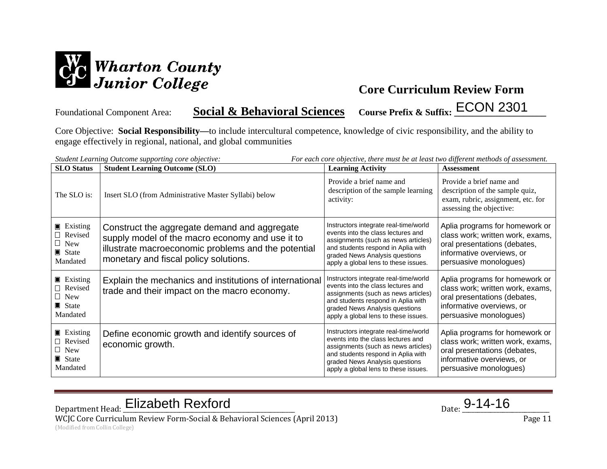

Foundational Component Area: **Social & Behavioral Sciences** Course Prefix & Suffix: **ECON 2301** 

Core Objective: **Social Responsibility—**to include intercultural competence, knowledge of civic responsibility, and the ability to engage effectively in regional, national, and global communities

| <b>SLO</b> Status                                                                           | Student Learning Outcome supporting core objective:<br><b>Student Learning Outcome (SLO)</b>                                                                                                    | For each core objective, there must be at least two different methods of assessment.<br><b>Learning Activity</b>                                                                                                                   | <b>Assessment</b>                                                                                                                                         |
|---------------------------------------------------------------------------------------------|-------------------------------------------------------------------------------------------------------------------------------------------------------------------------------------------------|------------------------------------------------------------------------------------------------------------------------------------------------------------------------------------------------------------------------------------|-----------------------------------------------------------------------------------------------------------------------------------------------------------|
| The SLO is:                                                                                 | Insert SLO (from Administrative Master Syllabi) below                                                                                                                                           | Provide a brief name and<br>description of the sample learning<br>activity:                                                                                                                                                        | Provide a brief name and<br>description of the sample quiz,<br>exam, rubric, assignment, etc. for<br>assessing the objective:                             |
| $\blacksquare$ Existing<br>$\Box$ Revised<br>$\Box$ New<br>$\blacksquare$ State<br>Mandated | Construct the aggregate demand and aggregate<br>supply model of the macro economy and use it to<br>illustrate macroeconomic problems and the potential<br>monetary and fiscal policy solutions. | Instructors integrate real-time/world<br>events into the class lectures and<br>assignments (such as news articles)<br>and students respond in Aplia with<br>graded News Analysis questions<br>apply a global lens to these issues. | Aplia programs for homework or<br>class work; written work, exams,<br>oral presentations (debates,<br>informative overviews, or<br>persuasive monologues) |
| <b>Existing</b><br>□ Revised<br>$\Box$ New<br>$\blacksquare$ State<br>Mandated              | Explain the mechanics and institutions of international<br>trade and their impact on the macro economy.                                                                                         | Instructors integrate real-time/world<br>events into the class lectures and<br>assignments (such as news articles)<br>and students respond in Aplia with<br>graded News Analysis questions<br>apply a global lens to these issues. | Aplia programs for homework or<br>class work; written work, exams,<br>oral presentations (debates,<br>informative overviews, or<br>persuasive monologues) |
| $\blacksquare$ Existing<br>□ Revised<br>$\Box$ New<br>$\blacksquare$ State<br>Mandated      | Define economic growth and identify sources of<br>economic growth.                                                                                                                              | Instructors integrate real-time/world<br>events into the class lectures and<br>assignments (such as news articles)<br>and students respond in Aplia with<br>graded News Analysis questions<br>apply a global lens to these issues. | Aplia programs for homework or<br>class work; written work, exams,<br>oral presentations (debates,<br>informative overviews, or<br>persuasive monologues) |

Department Head: Elizabeth Rexford Department Head: <u>Elizabeth Rexford</u> Parte 2014-16

WCJC Core Curriculum Review Form-Social & Behavioral Sciences (April 2013) Page 11 (Modified from Collin College)